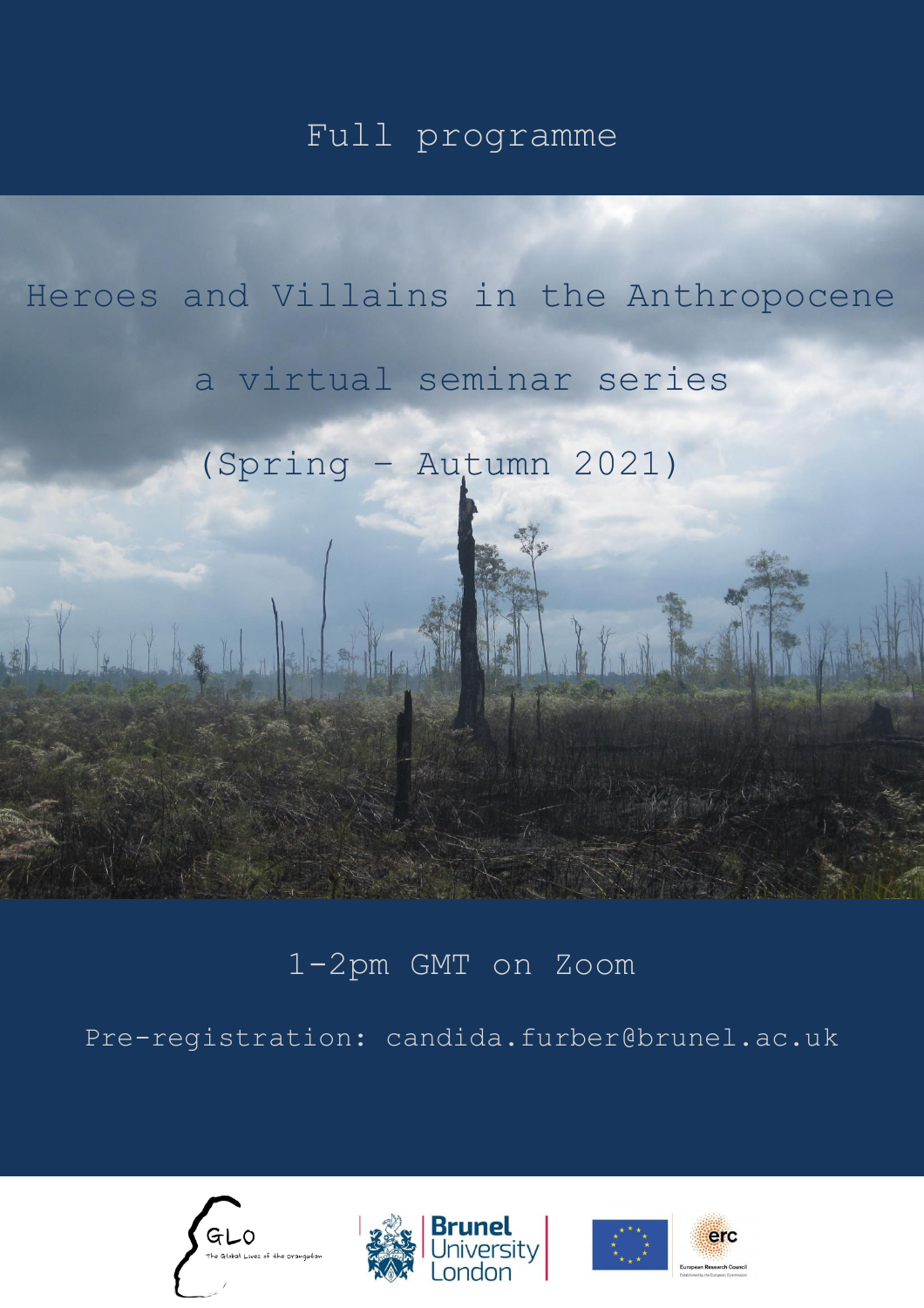## Full programme

# Heroes and Villains in the Anthropocene

## a virtual seminar series

(Spring – Autumn 2021)

## 1-2pm GMT on Zoom

Pre-registration: [candida.furber@brunel.ac.uk](mailto:candida.furber@brunel.ac.uk)







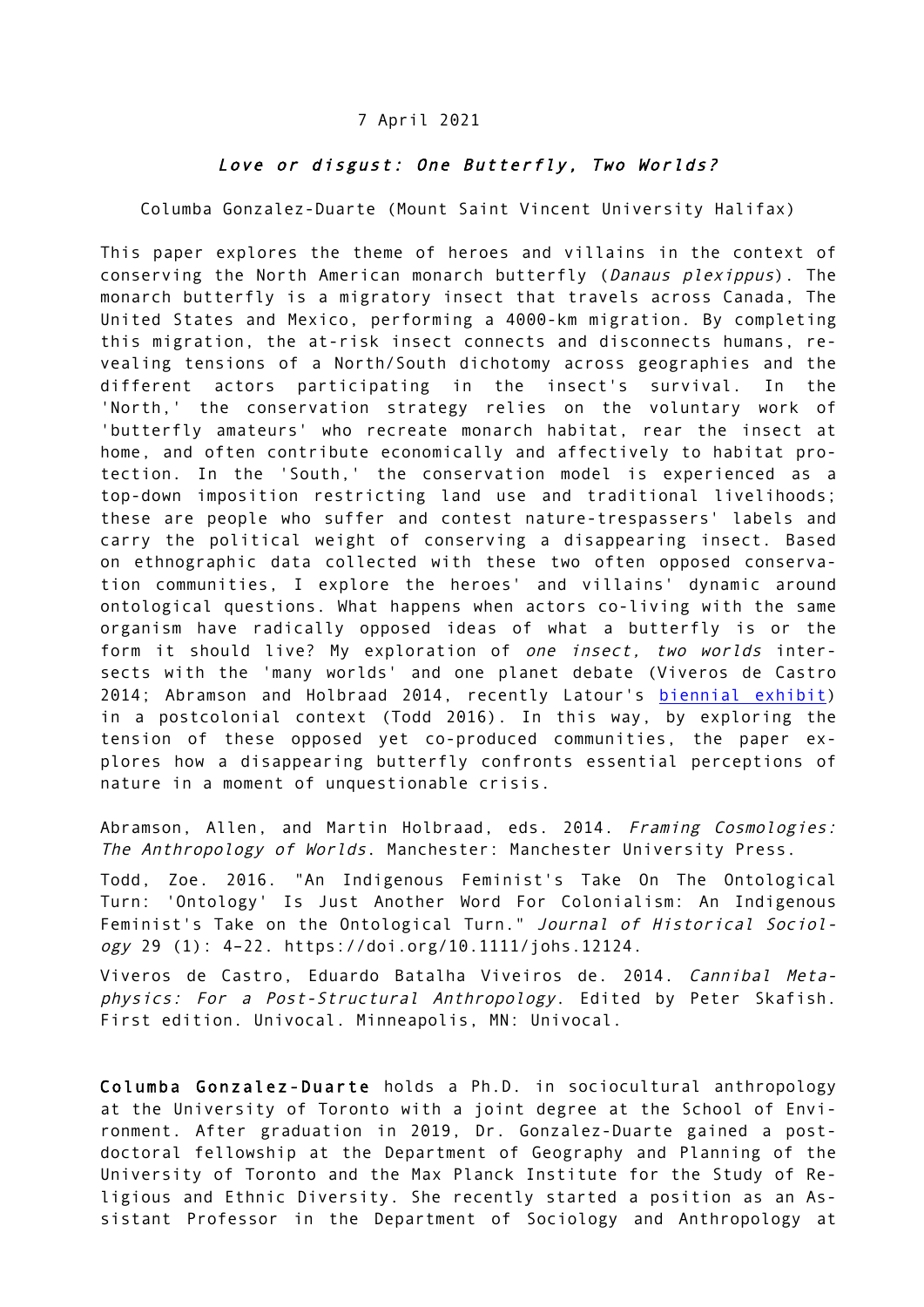#### 7 April 2021

#### Love or disgust: One Butterfly, Two Worlds?

Columba Gonzalez-Duarte (Mount Saint Vincent University Halifax)

This paper explores the theme of heroes and villains in the context of conserving the North American monarch butterfly (Danaus plexippus). The monarch butterfly is a migratory insect that travels across Canada, The United States and Mexico, performing a 4000-km migration. By completing this migration, the at-risk insect connects and disconnects humans, revealing tensions of a North/South dichotomy across geographies and the different actors participating in the insect's survival. In the 'North,' the conservation strategy relies on the voluntary work of 'butterfly amateurs' who recreate monarch habitat, rear the insect at home, and often contribute economically and affectively to habitat protection. In the 'South,' the conservation model is experienced as a top-down imposition restricting land use and traditional livelihoods; these are people who suffer and contest nature-trespassers' labels and carry the political weight of conserving a disappearing insect. Based on ethnographic data collected with these two often opposed conservation communities, I explore the heroes' and villains' dynamic around ontological questions. What happens when actors co-living with the same organism have radically opposed ideas of what a butterfly is or the form it should live? My exploration of one insect, two worlds intersects with the 'many worlds' and one planet debate (Viveros de Castro 2014; Abramson and Holbraad 2014, recently Latour's biennial exhibit) in a postcolonial context (Todd 2016). In this way, by exploring the tension of these opposed yet co-produced communities, the paper explores how a disappearing butterfly confronts essential perceptions of nature in a moment of unquestionable crisis.

Abramson, Allen, and Martin Holbraad, eds. 2014. Framing Cosmologies: The Anthropology of Worlds. Manchester: Manchester University Press.

Todd, Zoe. 2016. "An Indigenous Feminist's Take On The Ontological Turn: 'Ontology' Is Just Another Word For Colonialism: An Indigenous Feminist's Take on the Ontological Turn." Journal of Historical Sociology 29 (1): 4–22. https://doi.org/10.1111/johs.12124.

Viveros de Castro, Eduardo Batalha Viveiros de. 2014. Cannibal Metaphysics: For a Post-Structural Anthropology. Edited by Peter Skafish. First edition. Univocal. Minneapolis, MN: Univocal.

Columba Gonzalez-Duarte holds a Ph.D. in sociocultural anthropology at the University of Toronto with a joint degree at the School of Environment. After graduation in 2019, Dr. Gonzalez-Duarte gained a postdoctoral fellowship at the Department of Geography and Planning of the University of Toronto and the Max Planck Institute for the Study of Religious and Ethnic Diversity. She recently started a position as an Assistant Professor in the Department of Sociology and Anthropology at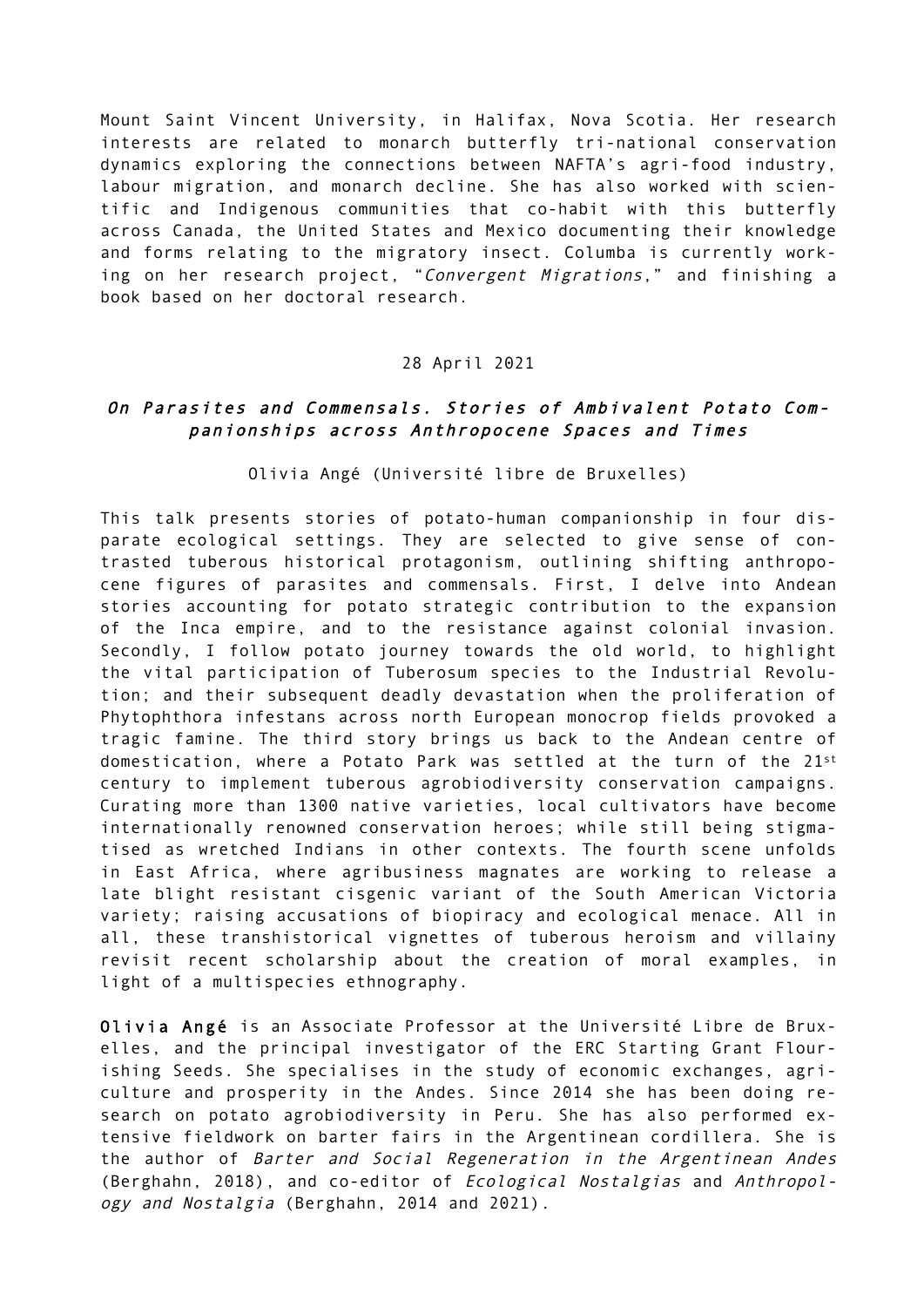Mount Saint Vincent University, in Halifax, Nova Scotia. Her research interests are related to monarch butterfly tri-national conservation dynamics exploring the connections between NAFTA's agri-food industry, labour migration, and monarch decline. She has also worked with scientific and Indigenous communities that co-habit with this butterfly across Canada, the United States and Mexico documenting their knowledge and forms relating to the migratory insect. Columba is currently working on her research project, "Convergent Migrations," and finishing a book based on her doctoral research.

#### 28 April 2021

### On Parasites and Commensals. Stories of Ambivalent Potato Companionships across Anthropocene Spaces and Times

Olivia Angé (Université libre de Bruxelles)

This talk presents stories of potato-human companionship in four disparate ecological settings. They are selected to give sense of contrasted tuberous historical protagonism, outlining shifting anthropocene figures of parasites and commensals. First, I delve into Andean stories accounting for potato strategic contribution to the expansion of the Inca empire, and to the resistance against colonial invasion. Secondly, I follow potato journey towards the old world, to highlight the vital participation of Tuberosum species to the Industrial Revolution; and their subsequent deadly devastation when the proliferation of Phytophthora infestans across north European monocrop fields provoked a tragic famine. The third story brings us back to the Andean centre of domestication, where a Potato Park was settled at the turn of the 21st century to implement tuberous agrobiodiversity conservation campaigns. Curating more than 1300 native varieties, local cultivators have become internationally renowned conservation heroes; while still being stigmatised as wretched Indians in other contexts. The fourth scene unfolds in East Africa, where agribusiness magnates are working to release a late blight resistant cisgenic variant of the South American Victoria variety; raising accusations of biopiracy and ecological menace. All in all, these transhistorical vignettes of tuberous heroism and villainy revisit recent scholarship about the creation of moral examples, in light of a multispecies ethnography.

Olivia Angé is an Associate Professor at the Université Libre de Bruxelles, and the principal investigator of the ERC Starting Grant Flourishing Seeds. She specialises in the study of economic exchanges, agriculture and prosperity in the Andes. Since 2014 she has been doing research on potato agrobiodiversity in Peru. She has also performed extensive fieldwork on barter fairs in the Argentinean cordillera. She is the author of Barter and Social Regeneration in the Argentinean Andes (Berghahn, 2018), and co-editor of Ecological Nostalgias and Anthropology and Nostalgia (Berghahn, 2014 and 2021).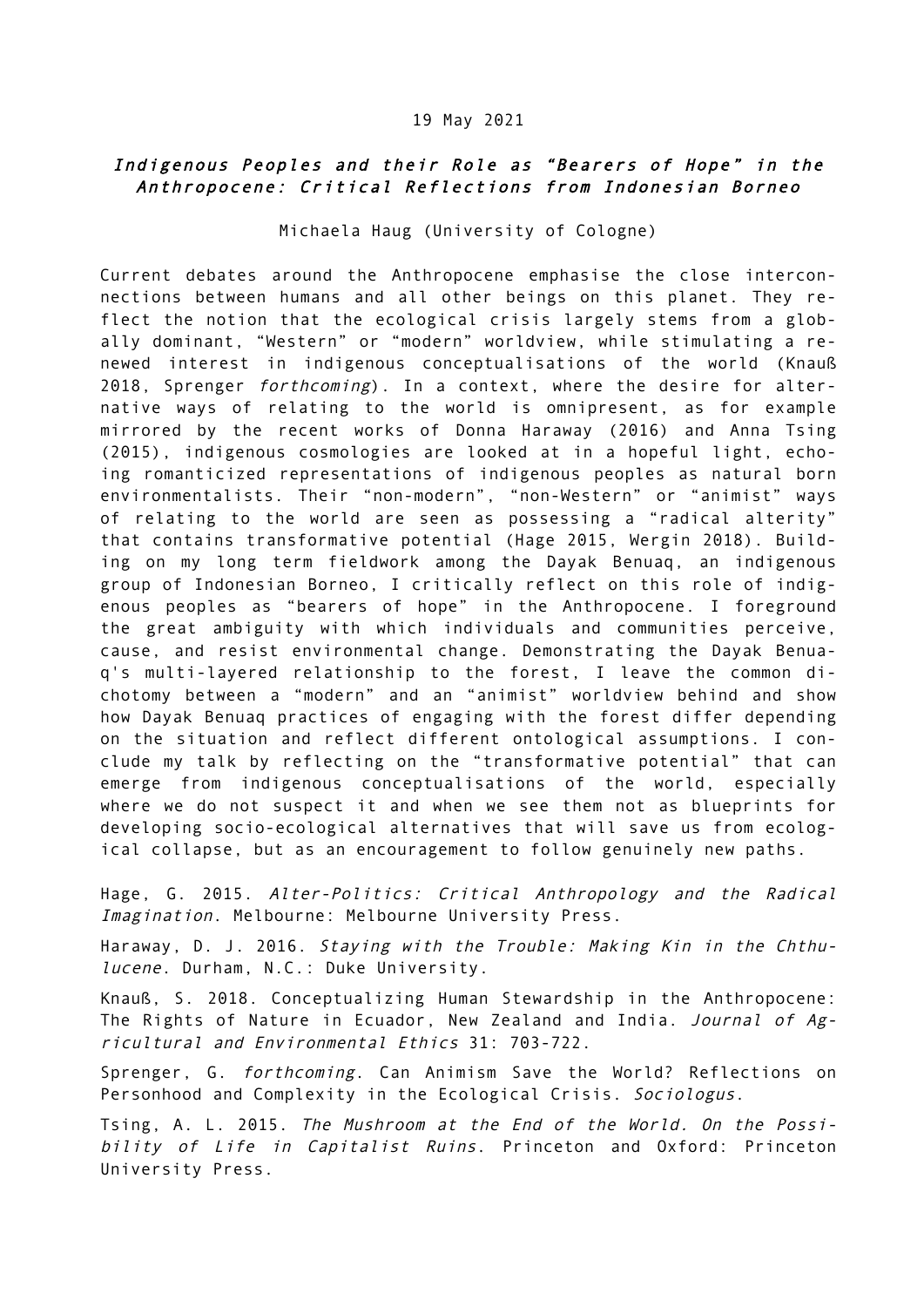#### 19 May 2021

### Indigenous Peoples and their Role as "Bearers of Hope" in the Anthropocene: Critical Reflections from Indonesian Borneo

Michaela Haug (University of Cologne)

Current debates around the Anthropocene emphasise the close interconnections between humans and all other beings on this planet. They reflect the notion that the ecological crisis largely stems from a globally dominant, "Western" or "modern" worldview, while stimulating a renewed interest in indigenous conceptualisations of the world (Knauß 2018, Sprenger forthcoming). In a context, where the desire for alternative ways of relating to the world is omnipresent, as for example mirrored by the recent works of Donna Haraway (2016) and Anna Tsing (2015), indigenous cosmologies are looked at in a hopeful light, echoing romanticized representations of indigenous peoples as natural born environmentalists. Their "non-modern", "non-Western" or "animist" ways of relating to the world are seen as possessing a "radical alterity" that contains transformative potential (Hage 2015, Wergin 2018). Building on my long term fieldwork among the Dayak Benuaq, an indigenous group of Indonesian Borneo, I critically reflect on this role of indigenous peoples as "bearers of hope" in the Anthropocene. I foreground the great ambiguity with which individuals and communities perceive, cause, and resist environmental change. Demonstrating the Dayak Benuaq's multi-layered relationship to the forest, I leave the common dichotomy between a "modern" and an "animist" worldview behind and show how Dayak Benuaq practices of engaging with the forest differ depending on the situation and reflect different ontological assumptions. I conclude my talk by reflecting on the "transformative potential" that can emerge from indigenous conceptualisations of the world, especially where we do not suspect it and when we see them not as blueprints for developing socio-ecological alternatives that will save us from ecological collapse, but as an encouragement to follow genuinely new paths.

Hage, G. 2015. Alter-Politics: Critical Anthropology and the Radical Imagination. Melbourne: Melbourne University Press.

Haraway, D. J. 2016. Staying with the Trouble: Making Kin in the Chthulucene. Durham, N.C.: Duke University.

Knauß, S. 2018. Conceptualizing Human Stewardship in the Anthropocene: The Rights of Nature in Ecuador, New Zealand and India. Journal of Agricultural and Environmental Ethics 31: 703-722.

Sprenger, G. forthcoming. Can Animism Save the World? Reflections on Personhood and Complexity in the Ecological Crisis. Sociologus.

Tsing, A. L. 2015. The Mushroom at the End of the World. On the Possibility of Life in Capitalist Ruins. Princeton and Oxford: Princeton University Press.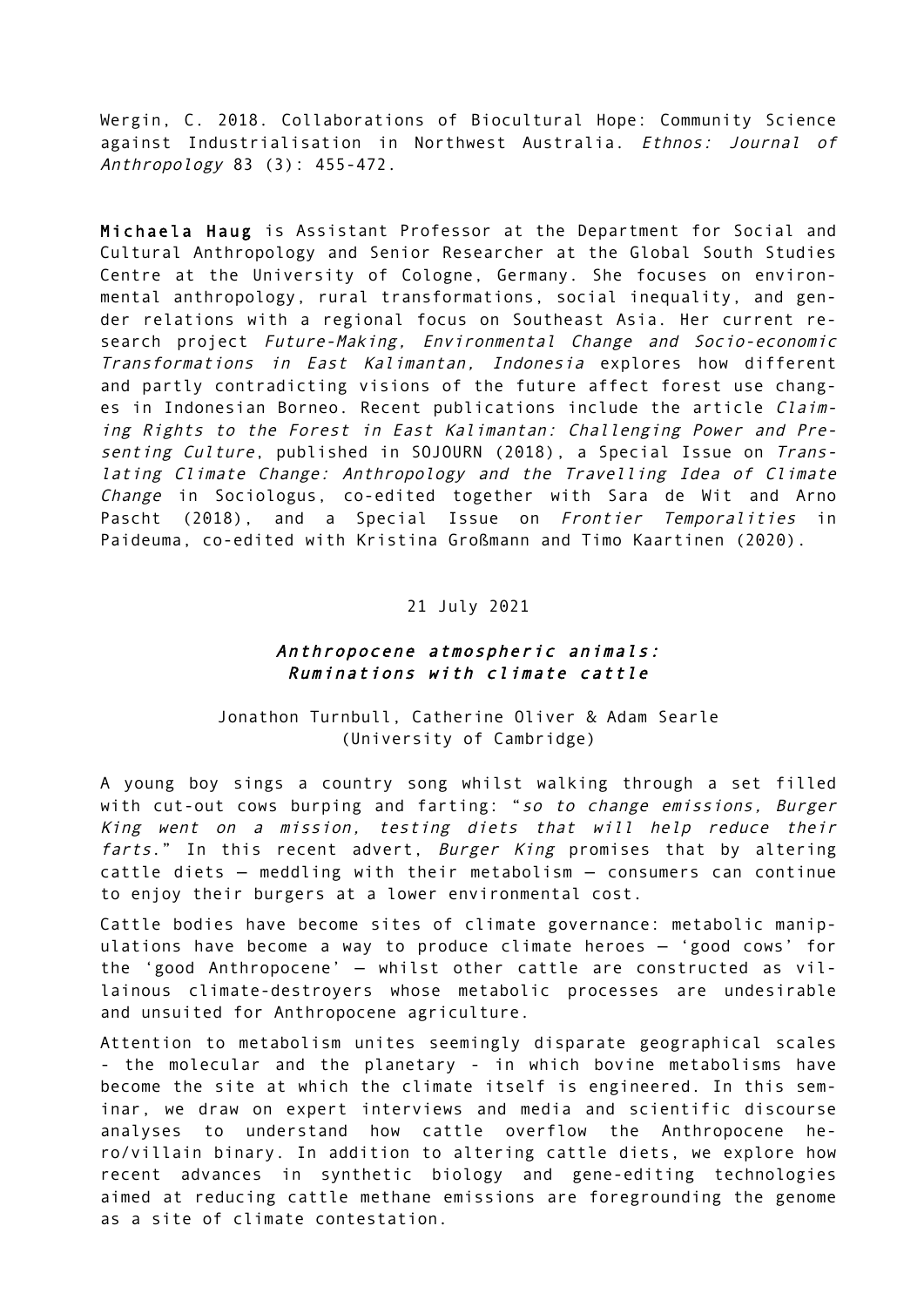Wergin, C. 2018. Collaborations of Biocultural Hope: Community Science against Industrialisation in Northwest Australia. Ethnos: Journal of Anthropology 83 (3): 455-472.

Michaela Haug is Assistant Professor at the Department for Social and Cultural Anthropology and Senior Researcher at the Global South Studies Centre at the University of Cologne, Germany. She focuses on environmental anthropology, rural transformations, social inequality, and gender relations with a regional focus on Southeast Asia. Her current research project Future-Making, Environmental Change and Socio-economic Transformations in East Kalimantan, Indonesia explores how different and partly contradicting visions of the future affect forest use changes in Indonesian Borneo. Recent publications include the article Claiming Rights to the Forest in East Kalimantan: Challenging Power and Presenting Culture, published in SOJOURN (2018), a Special Issue on Translating Climate Change: Anthropology and the Travelling Idea of Climate Change in Sociologus, co-edited together with Sara de Wit and Arno Pascht (2018), and a Special Issue on Frontier Temporalities in Paideuma, co-edited with Kristina Großmann and Timo Kaartinen (2020).

#### 21 July 2021

#### Anthropocene atmospheric animals: Ruminations with climate cattle

Jonathon Turnbull, Catherine Oliver & Adam Searle (University of Cambridge)

A young boy sings a country song whilst walking through a set filled with cut-out cows burping and farting: "so to change emissions, Burger King went on a mission, testing diets that will help reduce their farts." In this recent advert, Burger King promises that by altering cattle diets — meddling with their metabolism — consumers can continue to enjoy their burgers at a lower environmental cost.

Cattle bodies have become sites of climate governance: metabolic manipulations have become a way to produce climate heroes — 'good cows' for the 'good Anthropocene' — whilst other cattle are constructed as villainous climate-destroyers whose metabolic processes are undesirable and unsuited for Anthropocene agriculture.

Attention to metabolism unites seemingly disparate geographical scales - the molecular and the planetary - in which bovine metabolisms have become the site at which the climate itself is engineered. In this seminar, we draw on expert interviews and media and scientific discourse analyses to understand how cattle overflow the Anthropocene hero/villain binary. In addition to altering cattle diets, we explore how recent advances in synthetic biology and gene-editing technologies aimed at reducing cattle methane emissions are foregrounding the genome as a site of climate contestation.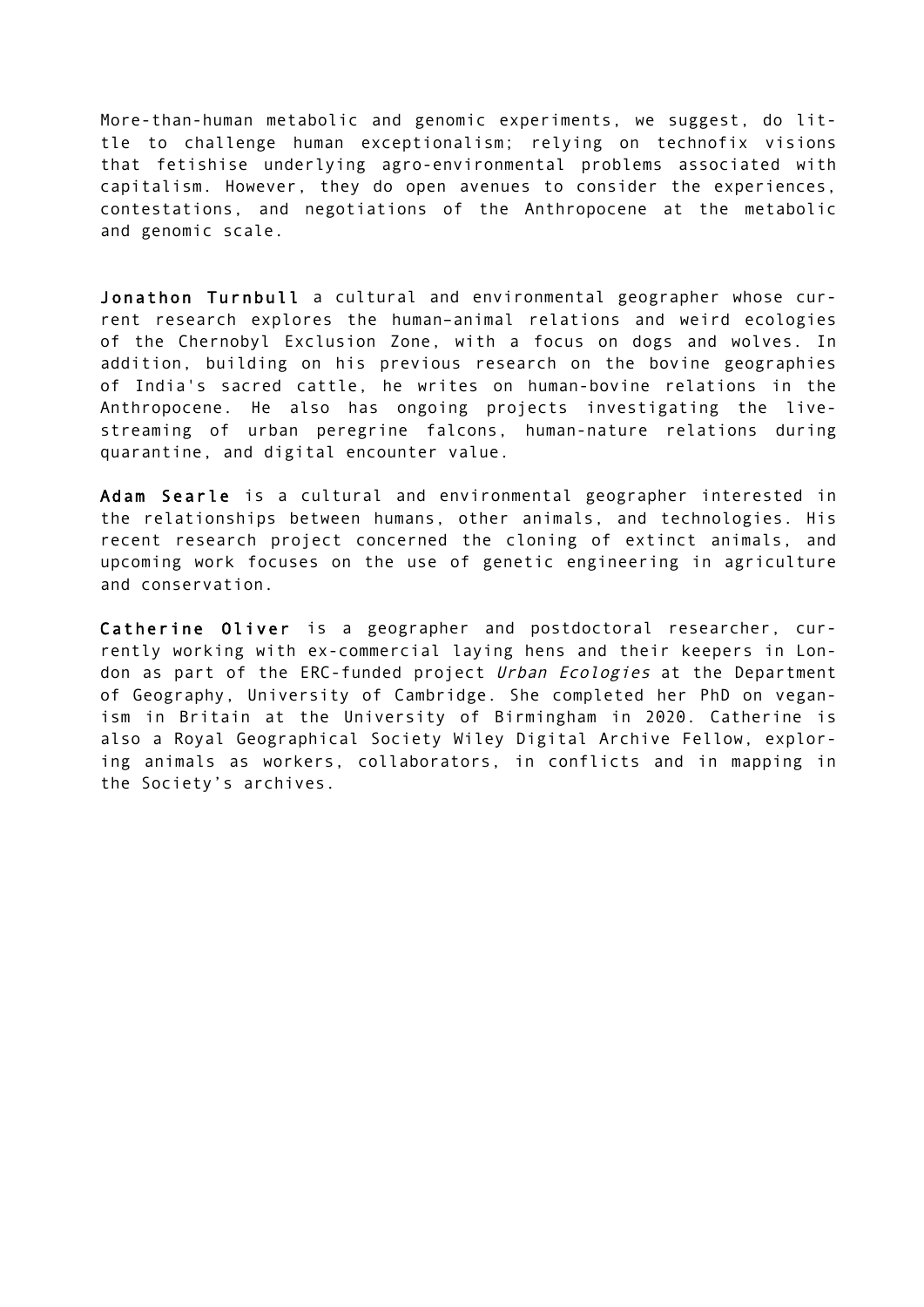More-than-human metabolic and genomic experiments, we suggest, do little to challenge human exceptionalism; relying on technofix visions that fetishise underlying agro-environmental problems associated with capitalism. However, they do open avenues to consider the experiences, contestations, and negotiations of the Anthropocene at the metabolic and genomic scale.

Jonathon Turnbull a cultural and environmental geographer whose current research explores the human–animal relations and weird ecologies of the Chernobyl Exclusion Zone, with a focus on dogs and wolves. In addition, building on his previous research on the bovine geographies of India's sacred cattle, he writes on human-bovine relations in the Anthropocene. He also has ongoing projects investigating the livestreaming of urban peregrine falcons, human-nature relations during quarantine, and digital encounter value.

Adam Searle is a cultural and environmental geographer interested in the relationships between humans, other animals, and technologies. His recent research project concerned the cloning of extinct animals, and upcoming work focuses on the use of genetic engineering in agriculture and conservation.

Catherine Oliver is a geographer and postdoctoral researcher, currently working with ex-commercial laying hens and their keepers in London as part of the ERC-funded project Urban Ecologies at the Department of Geography, University of Cambridge. She completed her PhD on veganism in Britain at the University of Birmingham in 2020. Catherine is also a Royal Geographical Society Wiley Digital Archive Fellow, exploring animals as workers, collaborators, in conflicts and in mapping in the Society's archives.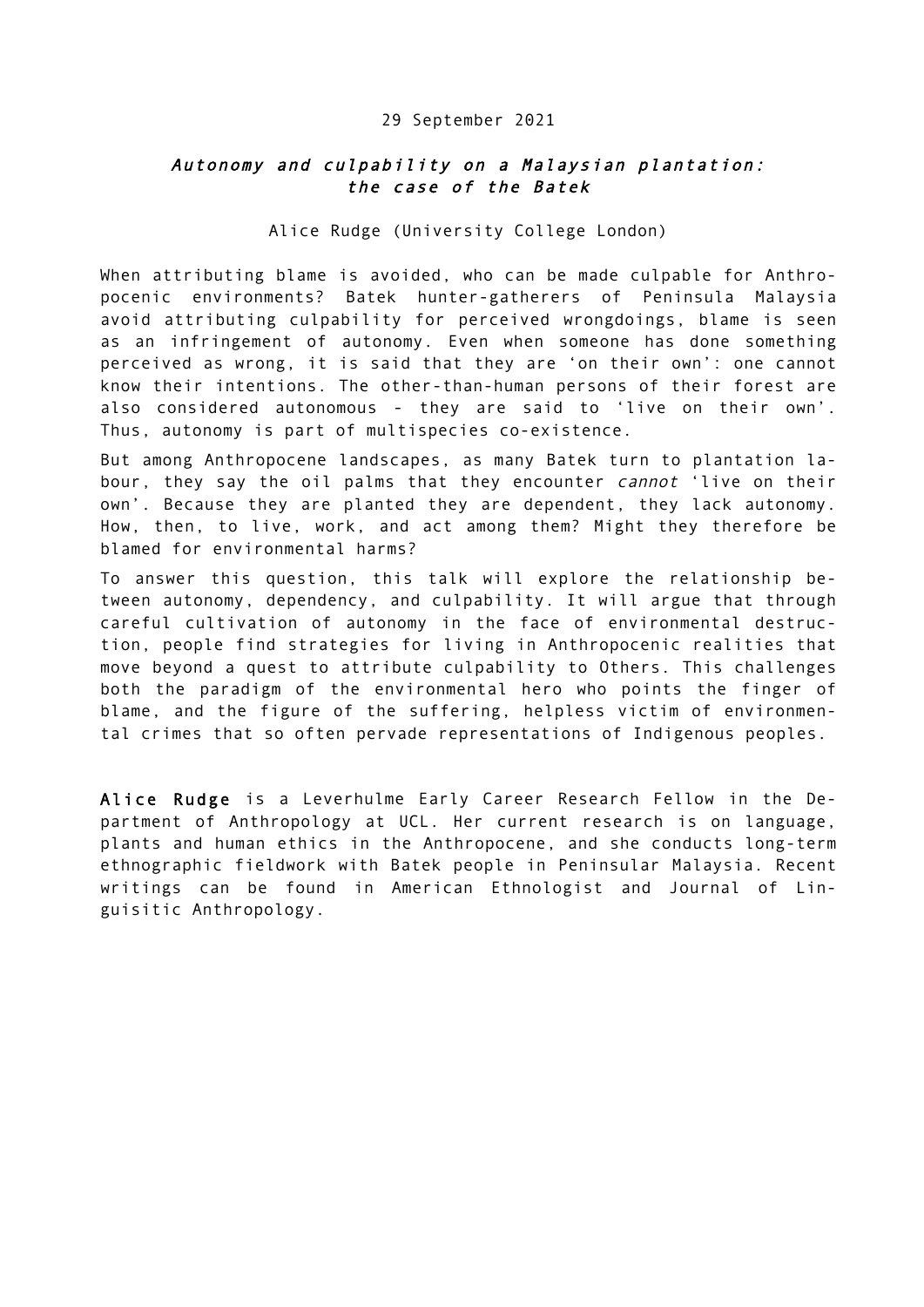#### 29 September 2021

### Autonomy and culpability on a Malaysian plantation: the case of the Batek

#### Alice Rudge (University College London)

When attributing blame is avoided, who can be made culpable for Anthropocenic environments? Batek hunter-gatherers of Peninsula Malaysia avoid attributing culpability for perceived wrongdoings, blame is seen as an infringement of autonomy. Even when someone has done something perceived as wrong, it is said that they are 'on their own': one cannot know their intentions. The other-than-human persons of their forest are also considered autonomous - they are said to 'live on their own'. Thus, autonomy is part of multispecies co-existence.

But among Anthropocene landscapes, as many Batek turn to plantation labour, they say the oil palms that they encounter cannot 'live on their own'. Because they are planted they are dependent, they lack autonomy. How, then, to live, work, and act among them? Might they therefore be blamed for environmental harms?

To answer this question, this talk will explore the relationship between autonomy, dependency, and culpability. It will argue that through careful cultivation of autonomy in the face of environmental destruction, people find strategies for living in Anthropocenic realities that move beyond a quest to attribute culpability to Others. This challenges both the paradigm of the environmental hero who points the finger of blame, and the figure of the suffering, helpless victim of environmental crimes that so often pervade representations of Indigenous peoples.

Alice Rudge is a Leverhulme Early Career Research Fellow in the Department of Anthropology at UCL. Her current research is on language, plants and human ethics in the Anthropocene, and she conducts long-term ethnographic fieldwork with Batek people in Peninsular Malaysia. Recent writings can be found in American Ethnologist and Journal of Linguisitic Anthropology.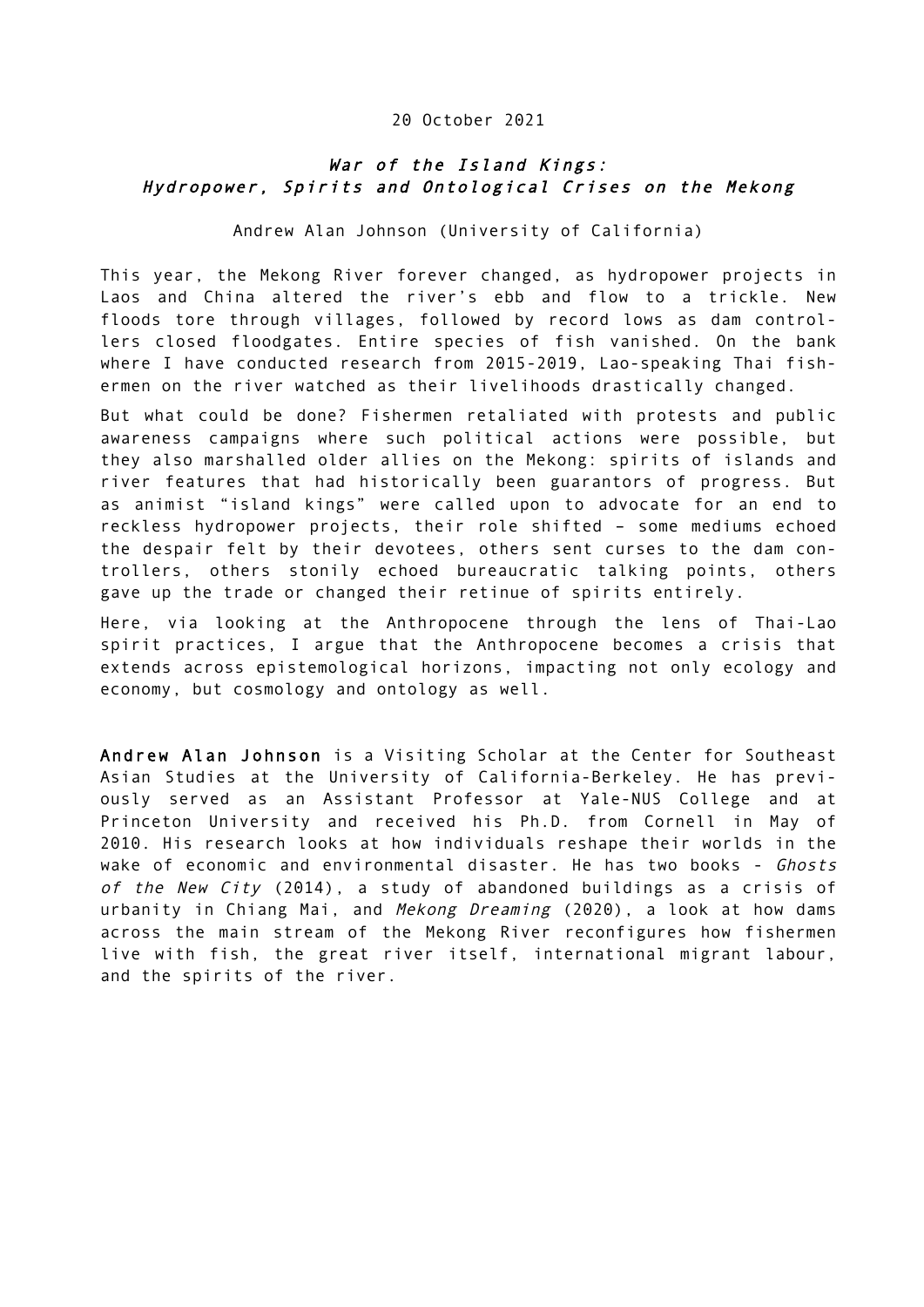#### 20 October 2021

## War of the Island Kings: Hydropower, Spirits and Ontological Crises on the Mekong

Andrew Alan Johnson (University of California)

This year, the Mekong River forever changed, as hydropower projects in Laos and China altered the river's ebb and flow to a trickle. New floods tore through villages, followed by record lows as dam controllers closed floodgates. Entire species of fish vanished. On the bank where I have conducted research from 2015-2019, Lao-speaking Thai fishermen on the river watched as their livelihoods drastically changed.

But what could be done? Fishermen retaliated with protests and public awareness campaigns where such political actions were possible, but they also marshalled older allies on the Mekong: spirits of islands and river features that had historically been guarantors of progress. But as animist "island kings" were called upon to advocate for an end to reckless hydropower projects, their role shifted – some mediums echoed the despair felt by their devotees, others sent curses to the dam controllers, others stonily echoed bureaucratic talking points, others gave up the trade or changed their retinue of spirits entirely.

Here, via looking at the Anthropocene through the lens of Thai-Lao spirit practices, I argue that the Anthropocene becomes a crisis that extends across epistemological horizons, impacting not only ecology and economy, but cosmology and ontology as well.

Andrew Alan Johnson is a Visiting Scholar at the Center for Southeast Asian Studies at the University of California-Berkeley. He has previously served as an Assistant Professor at Yale-NUS College and at Princeton University and received his Ph.D. from Cornell in May of 2010. His research looks at how individuals reshape their worlds in the wake of economic and environmental disaster. He has two books - Ghosts of the New City (2014), a study of abandoned buildings as a crisis of urbanity in Chiang Mai, and Mekong Dreaming (2020), a look at how dams across the main stream of the Mekong River reconfigures how fishermen live with fish, the great river itself, international migrant labour, and the spirits of the river.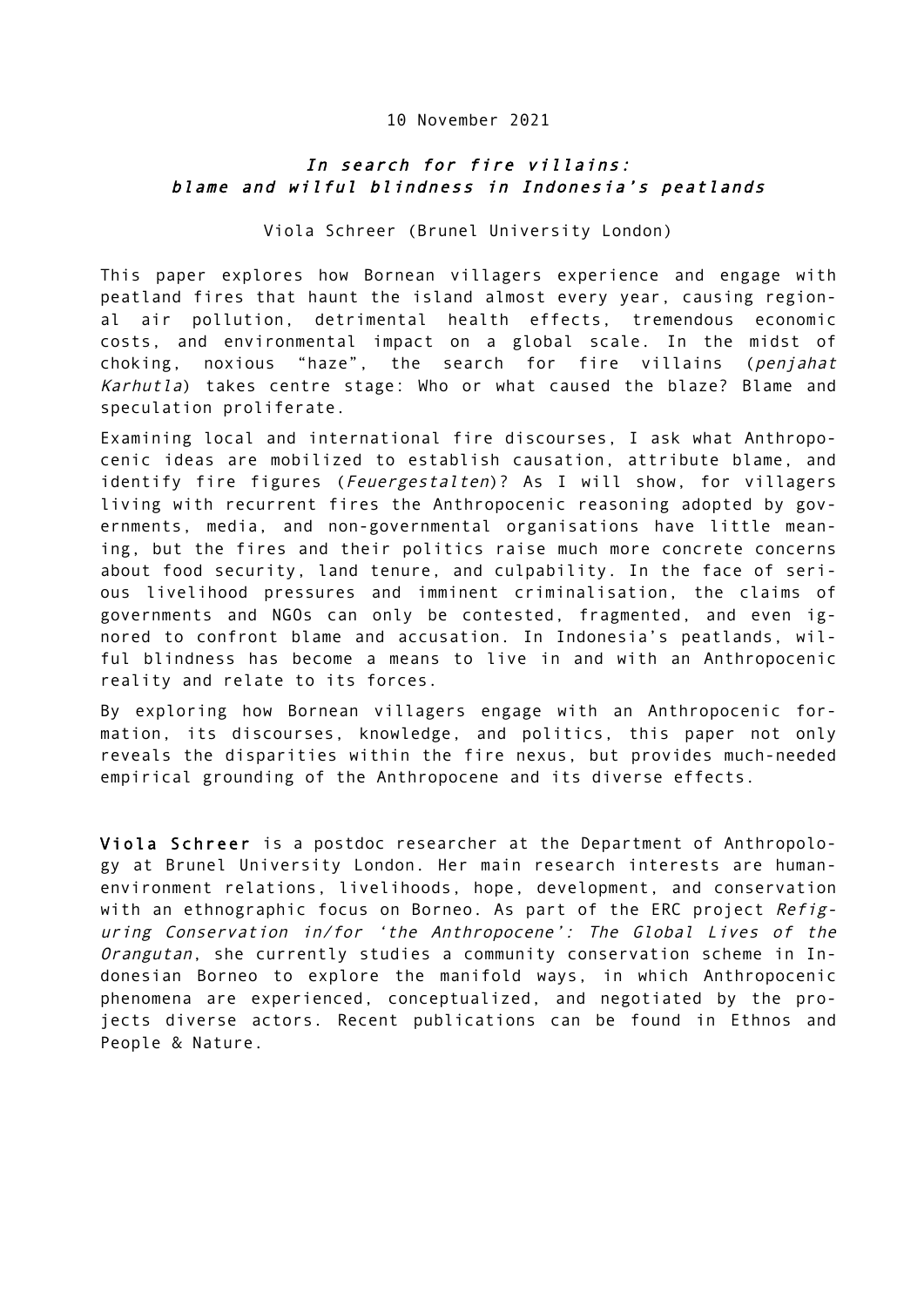#### 10 November 2021

## In search for fire villains: blame and wilful blindness in Indonesia's peatlands

Viola Schreer (Brunel University London)

This paper explores how Bornean villagers experience and engage with peatland fires that haunt the island almost every year, causing regional air pollution, detrimental health effects, tremendous economic costs, and environmental impact on a global scale. In the midst of choking, noxious "haze", the search for fire villains (penjahat Karhutla) takes centre stage: Who or what caused the blaze? Blame and speculation proliferate.

Examining local and international fire discourses, I ask what Anthropocenic ideas are mobilized to establish causation, attribute blame, and identify fire figures (Feuergestalten)? As I will show, for villagers living with recurrent fires the Anthropocenic reasoning adopted by governments, media, and non-governmental organisations have little meaning, but the fires and their politics raise much more concrete concerns about food security, land tenure, and culpability. In the face of serious livelihood pressures and imminent criminalisation, the claims of governments and NGOs can only be contested, fragmented, and even ignored to confront blame and accusation. In Indonesia's peatlands, wilful blindness has become a means to live in and with an Anthropocenic reality and relate to its forces.

By exploring how Bornean villagers engage with an Anthropocenic formation, its discourses, knowledge, and politics, this paper not only reveals the disparities within the fire nexus, but provides much-needed empirical grounding of the Anthropocene and its diverse effects.

Viola Schreer is a postdoc researcher at the Department of Anthropology at Brunel University London. Her main research interests are humanenvironment relations, livelihoods, hope, development, and conservation with an ethnographic focus on Borneo. As part of the ERC project Refiguring Conservation in/for 'the Anthropocene': The Global Lives of the Orangutan, she currently studies a community conservation scheme in Indonesian Borneo to explore the manifold ways, in which Anthropocenic phenomena are experienced, conceptualized, and negotiated by the projects diverse actors. Recent publications can be found in Ethnos and People & Nature.